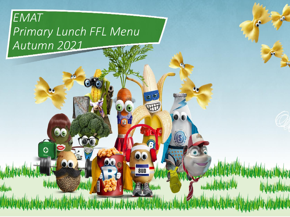# *EMAT Primary Lunch FFL Menu Autumn 2021*

G

00

 $\boldsymbol{\Theta}$ 

 $\boldsymbol{\omega}$   $\boldsymbol{\omega}$ 

WH

13

00

**8UD** 

爬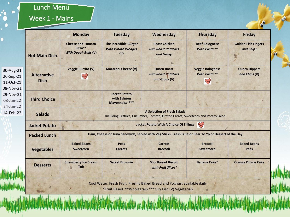### Lunch Menu

n

 $\bullet$ 

#### Week 1 - Mains

|                                                  |                                   | <b>Monday</b>                                                                                                        | <b>Tuesday</b>                                                   | Wednesday                                                                                                                         | <b>Thursday</b>                                        | <b>Friday</b>                           |  |  |
|--------------------------------------------------|-----------------------------------|----------------------------------------------------------------------------------------------------------------------|------------------------------------------------------------------|-----------------------------------------------------------------------------------------------------------------------------------|--------------------------------------------------------|-----------------------------------------|--|--|
|                                                  | <b>Hot Main Dish</b>              | <b>Cheese and Tomato</b><br>Pizza**<br><b>With Dough Balls (V)</b>                                                   | <b>The Incredible Burger</b><br><b>With Potato Wedges</b><br>(V) | <b>Roast Chicken</b><br>with Roast Potatoes<br>and Gravy                                                                          | <b>Beef Bolognese</b><br>With Pasta **                 | <b>Golden Fish Fingers</b><br>and Chips |  |  |
| 30-Aug-21<br>20-Sep-21<br>11-Oct-21<br>08-Nov-21 | <b>Alternative</b><br><b>Dish</b> | <b>Veggie Burrito (V)</b><br>eny                                                                                     | <b>Macaroni Cheese (V)</b>                                       | <b>Quorn Roast</b><br>with Roast Potatoes<br>and Gravy (V)                                                                        | <b>Veggie Bolognese</b><br><b>With Pasta **</b><br>(Wy | <b>Quorn Dippers</b><br>and Chips (V)   |  |  |
| 29-Nov-21<br>03-Jan-22<br>24-Jan-22              | <b>Third Choice</b>               |                                                                                                                      | <b>Jacket Potato</b><br>with Salmon<br>Mayonnaise ***            |                                                                                                                                   |                                                        |                                         |  |  |
| 14-Feb-22                                        | <b>Salads</b>                     | <b>A Selection of Fresh Salads</b><br>Including Lettuce, Cucumber, Tomato, Grated Carrot, Sweetcorn and Potato Salad |                                                                  |                                                                                                                                   |                                                        |                                         |  |  |
|                                                  | <b>Jacket Potato</b>              | $\mathbb{R}$<br><b>Jacket Potato With A Choice Of Fillings</b>                                                       |                                                                  |                                                                                                                                   |                                                        |                                         |  |  |
|                                                  | <b>Packed Lunch</b>               | Ham, Cheese or Tuna Sandwich, served with Veg Sticks, Fresh Fruit or Bear Yo Yo or Dessert of the Day                |                                                                  |                                                                                                                                   |                                                        |                                         |  |  |
|                                                  | <b>Vegetables</b>                 | <b>Baked Beans</b><br>Sweetcorn                                                                                      | Peas<br><b>Carrots</b>                                           | <b>Carrots</b><br><b>Broccoli</b>                                                                                                 | <b>Broccoli</b><br>Sweetcorn                           | <b>Baked Beans</b><br>Peas              |  |  |
|                                                  | <b>Desserts</b>                   | <b>Strawberry Ice Cream</b><br>Tub                                                                                   | <b>Secret Brownie</b>                                            | <b>Shortbread Biscuit</b><br>with Fruit Slices*                                                                                   | Banana Cake*                                           | <b>Orange Drizzle Cake</b>              |  |  |
|                                                  |                                   |                                                                                                                      |                                                                  | Cool Water, Fresh Fruit, Freshly Baked Bread and Yoghurt available daily<br>*Fruit Based **Wholegrain ***Oily Fish (V) Vegetarian |                                                        |                                         |  |  |

 $\bullet$ 

**OD**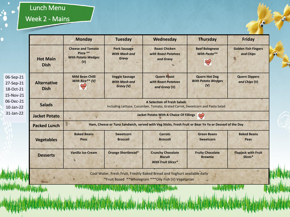## Lunch Menu

## Week 2 - Mains

|                                                                                         |                                                                                                                                    | <b>Monday</b>                                                                                                       | <b>Tuesday</b>                                             | Wednesday                                                               | <b>Thursday</b>                                          | <b>Friday</b>                           |  |  |
|-----------------------------------------------------------------------------------------|------------------------------------------------------------------------------------------------------------------------------------|---------------------------------------------------------------------------------------------------------------------|------------------------------------------------------------|-------------------------------------------------------------------------|----------------------------------------------------------|-----------------------------------------|--|--|
|                                                                                         | <b>Hot Main</b><br><b>Dish</b>                                                                                                     | <b>Cheese and Tomato</b><br>Pizza **<br><b>With Potato Wedges</b><br>(V)                                            | <b>Pork Sausage</b><br><b>With Mash and</b><br>Gravy       | <b>Roast Chicken</b><br>with Roast Potatoes<br>and Gravy                | <b>Beef Bolognese</b><br>With Pasta**<br>E               | <b>Golden Fish Fingers</b><br>and Chips |  |  |
| 06-Sep-21<br>27-Sep-21<br>18-Oct-21<br>15-Nov-21<br>06-Dec-21<br>10-Jan-22<br>31-Jan-22 | <b>Alternative</b><br><b>Dish</b>                                                                                                  | <b>Mild Bean Chilli</b><br>With Rice** (V)<br>(wy                                                                   | <b>Veggie Sausage</b><br><b>With Mash and</b><br>Gravy (V) | <b>Quorn Roast</b><br>with Roast Potatoes<br>and Gravy (V)              | <b>Quorn Hot Dog</b><br><b>With Potato Wedges</b><br>(V) | <b>Quorn Dippers</b><br>and Chips (V)   |  |  |
|                                                                                         | <b>Salads</b>                                                                                                                      | <b>A Selection of Fresh Salads</b><br>Including Lettuce, Cucumber, Tomato, Grated Carrot, Sweetcorn and Pasta Salad |                                                            |                                                                         |                                                          |                                         |  |  |
|                                                                                         | <b>Jacket Potato</b>                                                                                                               | <b>Jacket Potato With A Choice Of Fillings</b> $\begin{matrix} \sqrt{11} & 0 \\ 0 & \sqrt{11} & 0 \end{matrix}$     |                                                            |                                                                         |                                                          |                                         |  |  |
|                                                                                         | <b>Packed Lunch</b>                                                                                                                | Ham, Cheese or Tuna Sandwich, served with Veg Sticks, Fresh Fruit or Bear Yo Yo or Dessert of the Day               |                                                            |                                                                         |                                                          |                                         |  |  |
|                                                                                         | <b>Vegetables</b>                                                                                                                  | <b>Baked Beans</b><br>Peas                                                                                          | Sweetcorn<br><b>Broccoli</b>                               | <b>Carrots</b><br><b>Broccoli</b>                                       | <b>Green Beans</b><br>Sweetcorn                          | <b>Baked Beans</b><br>Peas              |  |  |
|                                                                                         | <b>Desserts</b>                                                                                                                    | <b>Vanilla Ice-Cream</b>                                                                                            | <b>Orange Shortbread*</b>                                  | <b>Crunchy Chocolate</b><br><b>Biscuit</b><br><b>With Fruit Slices*</b> | <b>Fruity Chocolate</b><br><b>Brownie</b>                | <b>Flapjack with Fruit</b><br>Slices*   |  |  |
|                                                                                         | Cool Water, Fresh Fruit, Freshly Baked Bread and Yoghurt available daily<br>*Fruit Based **Wholegrain *** Oily Fish (V) Vegetarian |                                                                                                                     |                                                            |                                                                         |                                                          |                                         |  |  |

×

 $\bullet$